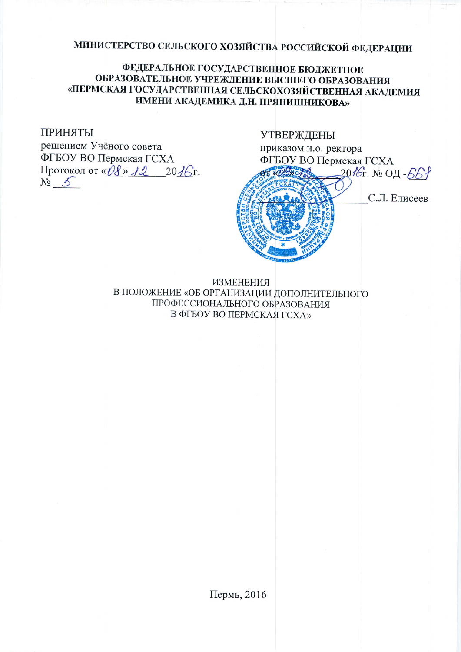# МИНИСТЕРСТВО СЕЛЬСКОГО ХОЗЯЙСТВА РОССИЙСКОЙ ФЕДЕРАЦИИ

## ФЕДЕРАЛЬНОЕ ГОСУДАРСТВЕННОЕ БЮДЖЕТНОЕ ОБРАЗОВАТЕЛЬНОЕ УЧРЕЖДЕНИЕ ВЫСШЕГО ОБРАЗОВАНИЯ «ПЕРМСКАЯ ГОСУДАРСТВЕННАЯ СЕЛЬСКОХОЗЯЙСТВЕННАЯ АКАДЕМИЯ ИМЕНИ АКАДЕМИКА Д.Н. ПРЯНИШНИКОВА»

### ПРИНЯТЫ

решением Учёного совета ФГБОУ ВО Пермская ГСХА Протокол от « $\hat{Q}$ в» А2 20А6г.  $N_2$  5

#### **УТВЕРЖДЕНЫ**

приказом и.о. ректора ФГБОУ ВО Пермская ГСХА 2016г. № ОД-661



С.Л. Елисеев

**ИЗМЕНЕНИЯ** В ПОЛОЖЕНИЕ «ОБ ОРГАНИЗАЦИИ ДОПОЛНИТЕЛЬНОГО ПРОФЕССИОНАЛЬНОГО ОБРАЗОВАНИЯ В ФГБОУ ВО ПЕРМСКАЯ ГСХА»